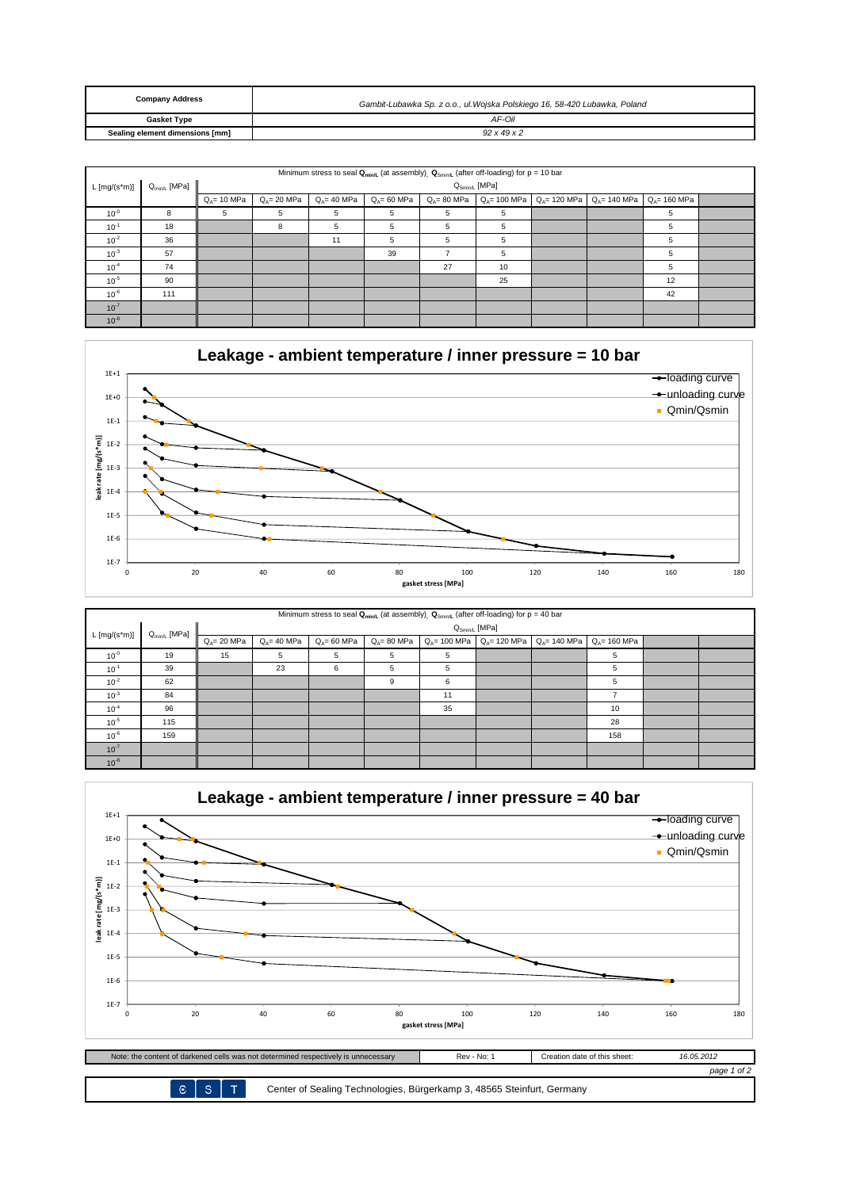| <b>Company Address</b>          | Gambit-Lubawka Sp. z o.o., ul. Wojska Polskiego 16, 58-420 Lubawka, Poland |
|---------------------------------|----------------------------------------------------------------------------|
| <b>Gasket Type</b>              | AF-Oil                                                                     |
| Sealing element dimensions [mm] | $92 \times 49 \times 2$                                                    |

| Minimum stress to seal $Q_{min/L}$ (at assembly) $Q_{Smin/L}$ (after off-loading) for p = 10 bar |     |                |                |                |                |                |    |                                                     |                 |                                |  |
|--------------------------------------------------------------------------------------------------|-----|----------------|----------------|----------------|----------------|----------------|----|-----------------------------------------------------|-----------------|--------------------------------|--|
| $Q_{min/L}$ [MPa]<br>$Q_{Smin/L}$ [MPa]<br>$L [mg/(s*m)]$                                        |     |                |                |                |                |                |    |                                                     |                 |                                |  |
|                                                                                                  |     | $Q_4 = 10$ MPa | $Q_A = 20$ MPa | $Q_4 = 40$ MPa | $Q_4 = 60$ MPa | $Q_4 = 80$ MPa |    | $Q_{A} = 100 \text{ MPa}$ $Q_{A} = 120 \text{ MPa}$ | $Q_A = 140$ MPa | $Q_{\Delta} = 160 \text{ MPa}$ |  |
| $10^{0}$                                                                                         | 8   | 5              | 5              | 5              | 5              | 5              | 5  |                                                     |                 | 5                              |  |
| $10^{-1}$                                                                                        | 18  |                | 8              | 5              | 5              | 5              | 5  |                                                     |                 | 5                              |  |
| $10^{-2}$                                                                                        | 36  |                |                | 11             | 5              | 5              | 5  |                                                     |                 | 5                              |  |
| $10^{-3}$                                                                                        | 57  |                |                |                | 39             |                | 5  |                                                     |                 | 5                              |  |
| $10^{-4}$                                                                                        | 74  |                |                |                |                | 27             | 10 |                                                     |                 | 5                              |  |
| $10^{-5}$                                                                                        | 90  |                |                |                |                |                | 25 |                                                     |                 | 12                             |  |
| $10^{-6}$                                                                                        | 111 |                |                |                |                |                |    |                                                     |                 | 42                             |  |
| $10^{-7}$                                                                                        |     |                |                |                |                |                |    |                                                     |                 |                                |  |
| $10^{-8}$                                                                                        |     |                |                |                |                |                |    |                                                     |                 |                                |  |



| Minimum stress to seal $Q_{min/L}$ (at assembly), $Q_{Smin/L}$ (after off-loading) for $p = 40$ bar |                   |                |                       |                |                |    |  |                                                 |                 |  |  |
|-----------------------------------------------------------------------------------------------------|-------------------|----------------|-----------------------|----------------|----------------|----|--|-------------------------------------------------|-----------------|--|--|
| $L [mg/(s*m)]$                                                                                      | $Q_{min/L}$ [MPa] |                | $Q_{Smin/L}$ [MPa]    |                |                |    |  |                                                 |                 |  |  |
|                                                                                                     |                   | $Q_4 = 20$ MPa | $Q_{\Delta} = 40$ MPa | $Q_4 = 60$ MPa | $Q_4 = 80$ MPa |    |  | $Q_A$ = 100 MPa $Q_A$ = 120 MPa $Q_A$ = 140 MPa | $Q_A = 160$ MPa |  |  |
| $10^{0}$                                                                                            | 19                | 15             | 5                     | 5              | 5              | 5  |  |                                                 | 5               |  |  |
| $10^{-1}$                                                                                           | 39                |                | 23                    | 6              | 5              | 5  |  |                                                 | 5               |  |  |
| $10^{-2}$                                                                                           | 62                |                |                       |                | 9              | 6  |  |                                                 | 5               |  |  |
| $10^{-3}$                                                                                           | 84                |                |                       |                |                | 11 |  |                                                 |                 |  |  |
| $10^{-4}$                                                                                           | 96                |                |                       |                |                | 35 |  |                                                 | 10              |  |  |
| $10^{-5}$                                                                                           | 115               |                |                       |                |                |    |  |                                                 | 28              |  |  |
| $10^{-6}$                                                                                           | 159               |                |                       |                |                |    |  |                                                 | 158             |  |  |
| $10^{-7}$                                                                                           |                   |                |                       |                |                |    |  |                                                 |                 |  |  |
| $10^{-8}$                                                                                           |                   |                |                       |                |                |    |  |                                                 |                 |  |  |